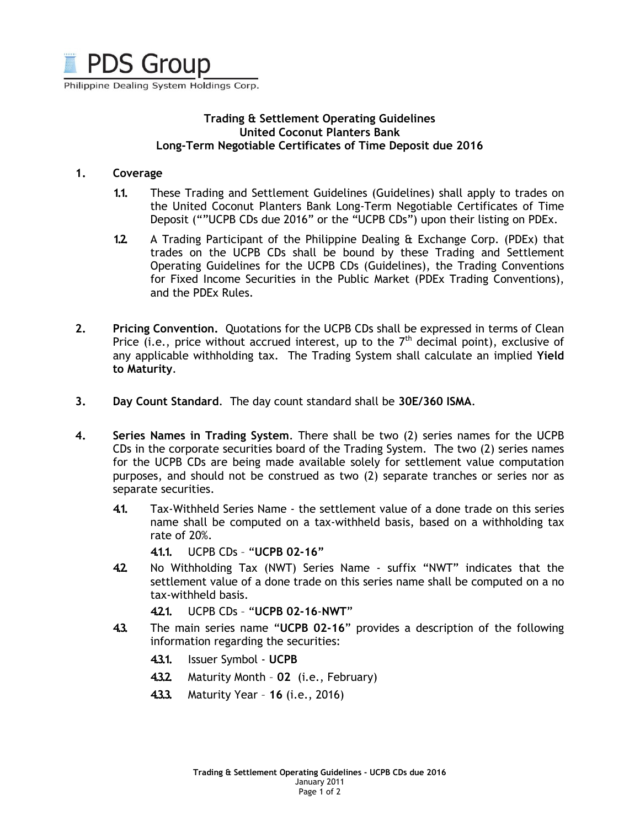

Philippine Dealing System Holdings Corp.

# Trading & Settlement Operating Guidelines United Coconut Planters Bank Long-Term Negotiable Certificates of Time Deposit due 2016

#### 1. Coverage

- 1.1. These Trading and Settlement Guidelines (Guidelines) shall apply to trades on the United Coconut Planters Bank Long-Term Negotiable Certificates of Time Deposit (""UCPB CDs due 2016" or the "UCPB CDs") upon their listing on PDEx.
- 1.2. A Trading Participant of the Philippine Dealing & Exchange Corp. (PDEx) that trades on the UCPB CDs shall be bound by these Trading and Settlement Operating Guidelines for the UCPB CDs (Guidelines), the Trading Conventions for Fixed Income Securities in the Public Market (PDEx Trading Conventions), and the PDEx Rules.
- 2. Pricing Convention. Quotations for the UCPB CDs shall be expressed in terms of Clean Price (i.e., price without accrued interest, up to the  $7<sup>th</sup>$  decimal point), exclusive of any applicable withholding tax. The Trading System shall calculate an implied Yield to Maturity.
- 3. Day Count Standard. The day count standard shall be 30E/360 ISMA.
- 4. Series Names in Trading System. There shall be two (2) series names for the UCPB CDs in the corporate securities board of the Trading System. The two (2) series names for the UCPB CDs are being made available solely for settlement value computation purposes, and should not be construed as two (2) separate tranches or series nor as separate securities.
	- 4.1. Tax-Withheld Series Name the settlement value of a done trade on this series name shall be computed on a tax-withheld basis, based on a withholding tax rate of 20%.

4.1.1. UCPB CDs – "UCPB 02-16"

4.2. No Withholding Tax (NWT) Series Name - suffix "NWT" indicates that the settlement value of a done trade on this series name shall be computed on a no tax-withheld basis.

4.2.1. UCPB CDs – "UCPB 02-16-NWT"

- 4.3. The main series name "UCPB 02-16" provides a description of the following information regarding the securities:
	- 4.3.1. Issuer Symbol UCPB
	- 4.3.2. Maturity Month 02 (i.e., February)
	- 4.3.3. Maturity Year 16 (i.e., 2016)